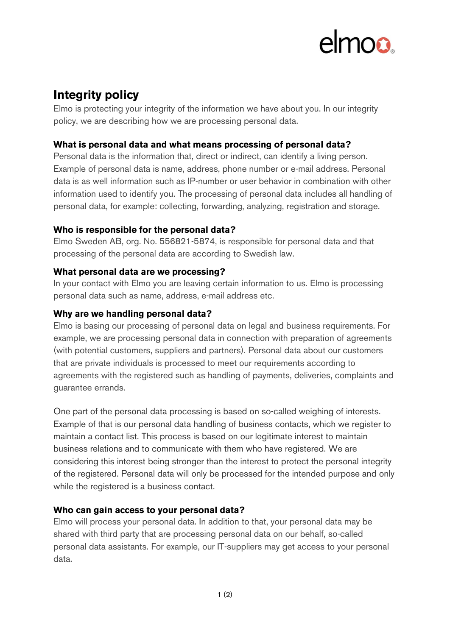# **Integrity policy**

Elmo is protecting your integrity of the information we have about you. In our integrity policy, we are describing how we are processing personal data.

# **What is personal data and what means processing of personal data?**

Personal data is the information that, direct or indirect, can identify a living person. Example of personal data is name, address, phone number or e-mail address. Personal data is as well information such as IP-number or user behavior in combination with other information used to identify you. The processing of personal data includes all handling of personal data, for example: collecting, forwarding, analyzing, registration and storage.

### **Who is responsible for the personal data?**

Elmo Sweden AB, org. No. 556821-5874, is responsible for personal data and that processing of the personal data are according to Swedish law.

# **What personal data are we processing?**

In your contact with Elmo you are leaving certain information to us. Elmo is processing personal data such as name, address, e-mail address etc.

# **Why are we handling personal data?**

Elmo is basing our processing of personal data on legal and business requirements. For example, we are processing personal data in connection with preparation of agreements (with potential customers, suppliers and partners). Personal data about our customers that are private individuals is processed to meet our requirements according to agreements with the registered such as handling of payments, deliveries, complaints and guarantee errands.

One part of the personal data processing is based on so-called weighing of interests. Example of that is our personal data handling of business contacts, which we register to maintain a contact list. This process is based on our legitimate interest to maintain business relations and to communicate with them who have registered. We are considering this interest being stronger than the interest to protect the personal integrity of the registered. Personal data will only be processed for the intended purpose and only while the registered is a business contact.

# **Who can gain access to your personal data?**

Elmo will process your personal data. In addition to that, your personal data may be shared with third party that are processing personal data on our behalf, so-called personal data assistants. For example, our IT-suppliers may get access to your personal data.